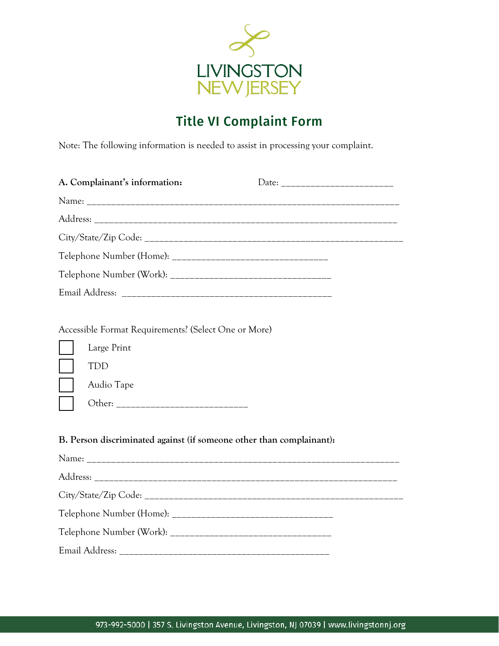

## Title VI Complaint Form

Note: The following information is needed to assist in processing your complaint.

|  | A. Complainant's information:                        |  |  |  |
|--|------------------------------------------------------|--|--|--|
|  |                                                      |  |  |  |
|  |                                                      |  |  |  |
|  |                                                      |  |  |  |
|  |                                                      |  |  |  |
|  |                                                      |  |  |  |
|  |                                                      |  |  |  |
|  |                                                      |  |  |  |
|  | Accessible Format Requirements? (Select One or More) |  |  |  |
|  | Large Print                                          |  |  |  |
|  | TDD                                                  |  |  |  |
|  | Audio Tape                                           |  |  |  |
|  |                                                      |  |  |  |

## **B. Person discriminated against (if someone other than complainant):**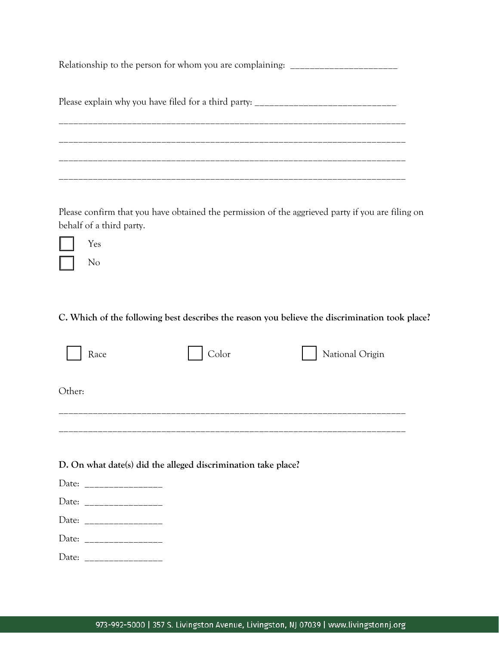Relationship to the person for whom you are complaining: \_\_\_\_\_\_\_\_\_\_\_\_\_\_\_\_\_\_\_\_\_\_\_

Please explain why you have filed for a third party: \_\_\_\_\_\_\_\_\_\_\_\_\_\_\_\_\_\_\_\_\_\_\_\_\_\_\_\_\_

\_\_\_\_\_\_\_\_\_\_\_\_\_\_\_\_\_\_\_\_\_\_\_\_\_\_\_\_\_\_\_\_\_\_\_\_\_\_\_\_\_\_\_\_\_\_\_\_\_\_\_\_\_\_\_\_\_\_\_\_\_\_\_\_\_\_\_\_\_\_\_ \_\_\_\_\_\_\_\_\_\_\_\_\_\_\_\_\_\_\_\_\_\_\_\_\_\_\_\_\_\_\_\_\_\_\_\_\_\_\_\_\_\_\_\_\_\_\_\_\_\_\_\_\_\_\_\_\_\_\_\_\_\_\_\_\_\_\_\_\_\_\_  $\mathcal{L}_\text{max}$ \_\_\_\_\_\_\_\_\_\_\_\_\_\_\_\_\_\_\_\_\_\_\_\_\_\_\_\_\_\_\_\_\_\_\_\_\_\_\_\_\_\_\_\_\_\_\_\_\_\_\_\_\_\_\_\_\_\_\_\_\_\_\_\_\_\_\_\_\_\_\_

Please confirm that you have obtained the permission of the aggrieved party if you are filing on behalf of a third party.

Yes No

## **C. Which of the following best describes the reason you believe the discrimination took place?**

| Race   | Color | National Origin |
|--------|-------|-----------------|
| Other: |       |                 |
|        |       |                 |

**D. On what date(s) did the alleged discrimination take place?**

| Date: |  |
|-------|--|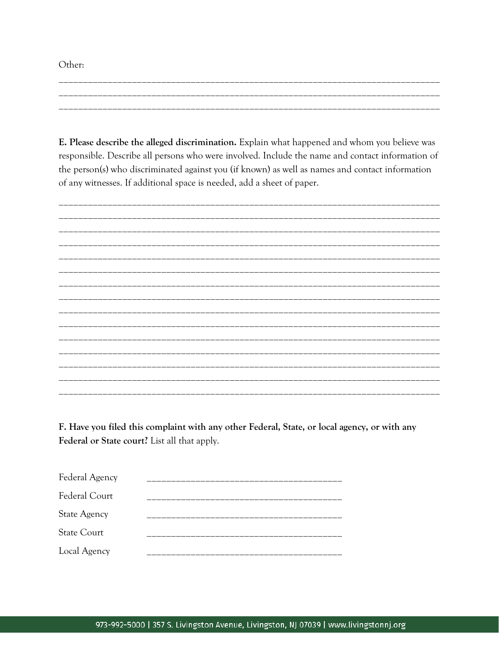Other:

E. Please describe the alleged discrimination. Explain what happened and whom you believe was responsible. Describe all persons who were involved. Include the name and contact information of the person(s) who discriminated against you (if known) as well as names and contact information of any witnesses. If additional space is needed, add a sheet of paper.

F. Have you filed this complaint with any other Federal, State, or local agency, or with any Federal or State court? List all that apply.

| Federal Agency      |  |
|---------------------|--|
| Federal Court       |  |
| <b>State Agency</b> |  |
| <b>State Court</b>  |  |
| Local Agency        |  |